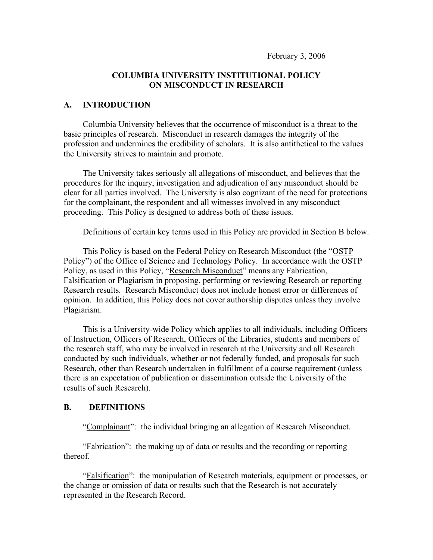#### **COLUMBIA UNIVERSITY INSTITUTIONAL POLICY ON MISCONDUCT IN RESEARCH**

## **A. INTRODUCTION**

Columbia University believes that the occurrence of misconduct is a threat to the basic principles of research. Misconduct in research damages the integrity of the profession and undermines the credibility of scholars. It is also antithetical to the values the University strives to maintain and promote.

The University takes seriously all allegations of misconduct, and believes that the procedures for the inquiry, investigation and adjudication of any misconduct should be clear for all parties involved. The University is also cognizant of the need for protections for the complainant, the respondent and all witnesses involved in any misconduct proceeding. This Policy is designed to address both of these issues.

Definitions of certain key terms used in this Policy are provided in Section B below.

This Policy is based on the Federal Policy on Research Misconduct (the "OSTP Policy") of the Office of Science and Technology Policy. In accordance with the OSTP Policy, as used in this Policy, "Research Misconduct" means any Fabrication, Falsification or Plagiarism in proposing, performing or reviewing Research or reporting Research results. Research Misconduct does not include honest error or differences of opinion. In addition, this Policy does not cover authorship disputes unless they involve Plagiarism.

This is a University-wide Policy which applies to all individuals, including Officers of Instruction, Officers of Research, Officers of the Libraries, students and members of the research staff, who may be involved in research at the University and all Research conducted by such individuals, whether or not federally funded, and proposals for such Research, other than Research undertaken in fulfillment of a course requirement (unless there is an expectation of publication or dissemination outside the University of the results of such Research).

#### **B. DEFINITIONS**

"Complainant": the individual bringing an allegation of Research Misconduct.

"**Fabrication**": the making up of data or results and the recording or reporting thereof.

"Falsification": the manipulation of Research materials, equipment or processes, or the change or omission of data or results such that the Research is not accurately represented in the Research Record.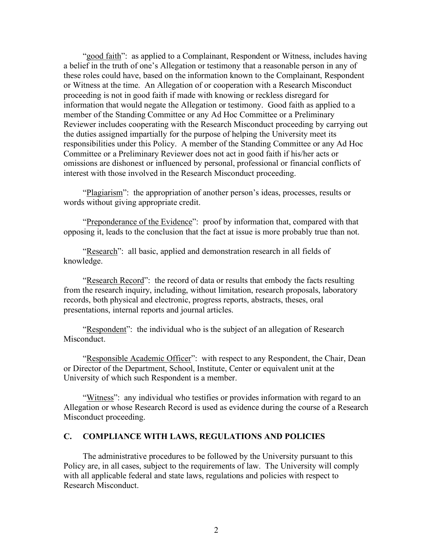"good faith": as applied to a Complainant, Respondent or Witness, includes having a belief in the truth of one's Allegation or testimony that a reasonable person in any of these roles could have, based on the information known to the Complainant, Respondent or Witness at the time. An Allegation of or cooperation with a Research Misconduct proceeding is not in good faith if made with knowing or reckless disregard for information that would negate the Allegation or testimony. Good faith as applied to a member of the Standing Committee or any Ad Hoc Committee or a Preliminary Reviewer includes cooperating with the Research Misconduct proceeding by carrying out the duties assigned impartially for the purpose of helping the University meet its responsibilities under this Policy. A member of the Standing Committee or any Ad Hoc Committee or a Preliminary Reviewer does not act in good faith if his/her acts or omissions are dishonest or influenced by personal, professional or financial conflicts of interest with those involved in the Research Misconduct proceeding.

"Plagiarism": the appropriation of another person's ideas, processes, results or words without giving appropriate credit.

"Preponderance of the Evidence": proof by information that, compared with that opposing it, leads to the conclusion that the fact at issue is more probably true than not.

"Research": all basic, applied and demonstration research in all fields of knowledge.

"Research Record": the record of data or results that embody the facts resulting from the research inquiry, including, without limitation, research proposals, laboratory records, both physical and electronic, progress reports, abstracts, theses, oral presentations, internal reports and journal articles.

"Respondent": the individual who is the subject of an allegation of Research Misconduct.

"Responsible Academic Officer": with respect to any Respondent, the Chair, Dean or Director of the Department, School, Institute, Center or equivalent unit at the University of which such Respondent is a member.

"Witness": any individual who testifies or provides information with regard to an Allegation or whose Research Record is used as evidence during the course of a Research Misconduct proceeding.

#### **C. COMPLIANCE WITH LAWS, REGULATIONS AND POLICIES**

The administrative procedures to be followed by the University pursuant to this Policy are, in all cases, subject to the requirements of law. The University will comply with all applicable federal and state laws, regulations and policies with respect to Research Misconduct.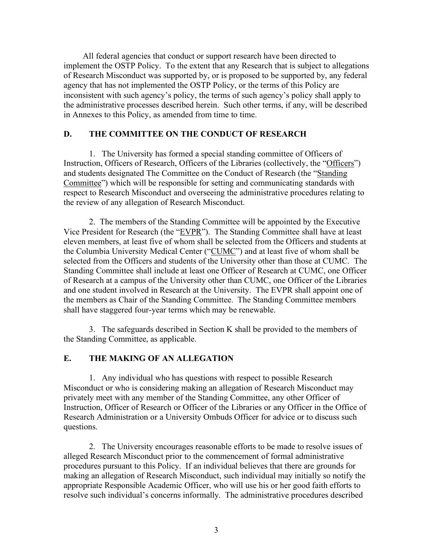All federal agencies that conduct or support research have been directed to implement the OSTP Policy. To the extent that any Research that is subject to allegations of Research Misconduct was supported by, or is proposed to be supported by, any federal agency that has not implemented the OSTP Policy, or the terms of this Policy are inconsistent with such agency's policy, the terms of such agency's policy shall apply to the administrative processes described herein. Such other terms, if any, will be described in Annexes to this Policy, as amended from time to time.

### **D. THE COMMITTEE ON THE CONDUCT OF RESEARCH**

1. The University has formed a special standing committee of Officers of Instruction, Officers of Research, Officers of the Libraries (collectively, the "Officers") and students designated The Committee on the Conduct of Research (the "Standing Committee") which will be responsible for setting and communicating standards with respect to Research Misconduct and overseeing the administrative procedures relating to the review of any allegation of Research Misconduct.

2. The members of the Standing Committee will be appointed by the Executive Vice President for Research (the "EVPR"). The Standing Committee shall have at least eleven members, at least five of whom shall be selected from the Officers and students at the Columbia University Medical Center ("CUMC") and at least five of whom shall be selected from the Officers and students of the University other than those at CUMC. The Standing Committee shall include at least one Officer of Research at CUMC, one Officer of Research at a campus of the University other than CUMC, one Officer of the Libraries and one student involved in Research at the University. The EVPR shall appoint one of the members as Chair of the Standing Committee. The Standing Committee members shall have staggered four-year terms which may be renewable.

3. The safeguards described in Section K shall be provided to the members of the Standing Committee, as applicable.

# **E. THE MAKING OF AN ALLEGATION**

1. Any individual who has questions with respect to possible Research Misconduct or who is considering making an allegation of Research Misconduct may privately meet with any member of the Standing Committee, any other Officer of Instruction, Officer of Research or Officer of the Libraries or any Officer in the Office of Research Administration or a University Ombuds Officer for advice or to discuss such questions.

2. The University encourages reasonable efforts to be made to resolve issues of alleged Research Misconduct prior to the commencement of formal administrative procedures pursuant to this Policy. If an individual believes that there are grounds for making an allegation of Research Misconduct, such individual may initially so notify the appropriate Responsible Academic Officer, who will use his or her good faith efforts to resolve such individual's concerns informally. The administrative procedures described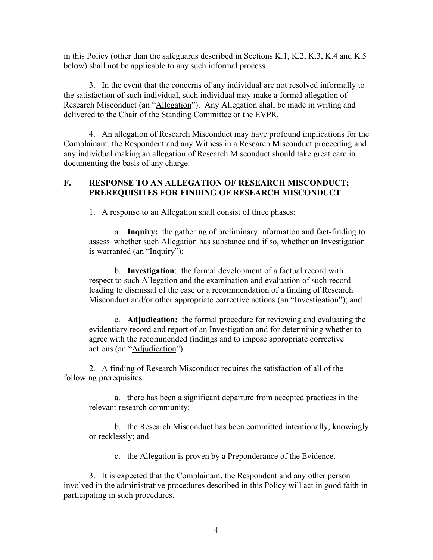in this Policy (other than the safeguards described in Sections K.1, K.2, K.3, K.4 and K.5 below) shall not be applicable to any such informal process.

3. In the event that the concerns of any individual are not resolved informally to the satisfaction of such individual, such individual may make a formal allegation of Research Misconduct (an "Allegation"). Any Allegation shall be made in writing and delivered to the Chair of the Standing Committee or the EVPR.

4. An allegation of Research Misconduct may have profound implications for the Complainant, the Respondent and any Witness in a Research Misconduct proceeding and any individual making an allegation of Research Misconduct should take great care in documenting the basis of any charge.

# **F. RESPONSE TO AN ALLEGATION OF RESEARCH MISCONDUCT; PREREQUISITES FOR FINDING OF RESEARCH MISCONDUCT**

1. A response to an Allegation shall consist of three phases:

a. **Inquiry:** the gathering of preliminary information and fact-finding to assess whether such Allegation has substance and if so, whether an Investigation is warranted (an "Inquiry");

b. **Investigation**: the formal development of a factual record with respect to such Allegation and the examination and evaluation of such record leading to dismissal of the case or a recommendation of a finding of Research Misconduct and/or other appropriate corrective actions (an "Investigation"); and

c. **Adjudication:** the formal procedure for reviewing and evaluating the evidentiary record and report of an Investigation and for determining whether to agree with the recommended findings and to impose appropriate corrective actions (an "Adjudication").

2. A finding of Research Misconduct requires the satisfaction of all of the following prerequisites:

a. there has been a significant departure from accepted practices in the relevant research community;

b. the Research Misconduct has been committed intentionally, knowingly or recklessly; and

c. the Allegation is proven by a Preponderance of the Evidence.

3. It is expected that the Complainant, the Respondent and any other person involved in the administrative procedures described in this Policy will act in good faith in participating in such procedures.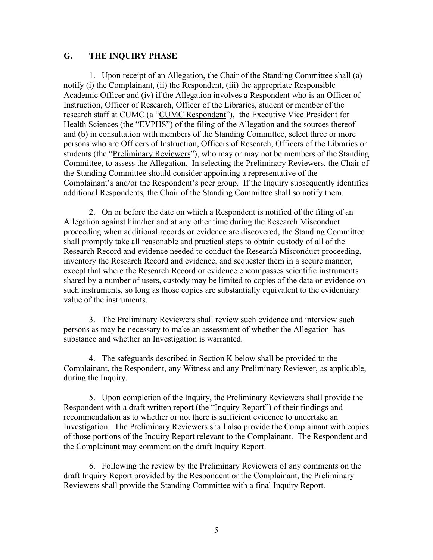### **G. THE INQUIRY PHASE**

1. Upon receipt of an Allegation, the Chair of the Standing Committee shall (a) notify (i) the Complainant, (ii) the Respondent, (iii) the appropriate Responsible Academic Officer and (iv) if the Allegation involves a Respondent who is an Officer of Instruction, Officer of Research, Officer of the Libraries, student or member of the research staff at CUMC (a "CUMC Respondent"), the Executive Vice President for Health Sciences (the "EVPHS") of the filing of the Allegation and the sources thereof and (b) in consultation with members of the Standing Committee, select three or more persons who are Officers of Instruction, Officers of Research, Officers of the Libraries or students (the "Preliminary Reviewers"), who may or may not be members of the Standing Committee, to assess the Allegation. In selecting the Preliminary Reviewers, the Chair of the Standing Committee should consider appointing a representative of the Complainant's and/or the Respondent's peer group. If the Inquiry subsequently identifies additional Respondents, the Chair of the Standing Committee shall so notify them.

2. On or before the date on which a Respondent is notified of the filing of an Allegation against him/her and at any other time during the Research Misconduct proceeding when additional records or evidence are discovered, the Standing Committee shall promptly take all reasonable and practical steps to obtain custody of all of the Research Record and evidence needed to conduct the Research Misconduct proceeding, inventory the Research Record and evidence, and sequester them in a secure manner, except that where the Research Record or evidence encompasses scientific instruments shared by a number of users, custody may be limited to copies of the data or evidence on such instruments, so long as those copies are substantially equivalent to the evidentiary value of the instruments.

3. The Preliminary Reviewers shall review such evidence and interview such persons as may be necessary to make an assessment of whether the Allegation has substance and whether an Investigation is warranted.

4. The safeguards described in Section K below shall be provided to the Complainant, the Respondent, any Witness and any Preliminary Reviewer, as applicable, during the Inquiry.

5. Upon completion of the Inquiry, the Preliminary Reviewers shall provide the Respondent with a draft written report (the "Inquiry Report") of their findings and recommendation as to whether or not there is sufficient evidence to undertake an Investigation. The Preliminary Reviewers shall also provide the Complainant with copies of those portions of the Inquiry Report relevant to the Complainant. The Respondent and the Complainant may comment on the draft Inquiry Report.

6. Following the review by the Preliminary Reviewers of any comments on the draft Inquiry Report provided by the Respondent or the Complainant, the Preliminary Reviewers shall provide the Standing Committee with a final Inquiry Report.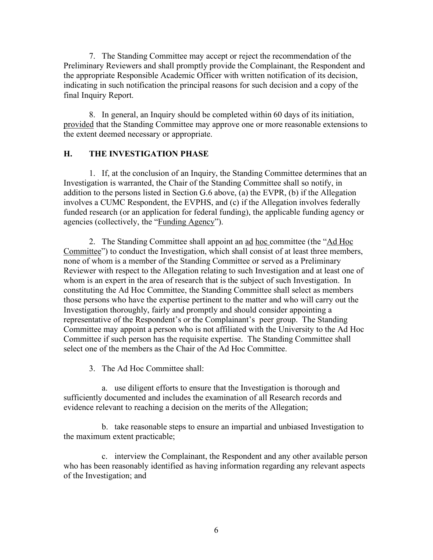7. The Standing Committee may accept or reject the recommendation of the Preliminary Reviewers and shall promptly provide the Complainant, the Respondent and the appropriate Responsible Academic Officer with written notification of its decision, indicating in such notification the principal reasons for such decision and a copy of the final Inquiry Report.

8. In general, an Inquiry should be completed within 60 days of its initiation, provided that the Standing Committee may approve one or more reasonable extensions to the extent deemed necessary or appropriate.

# **H. THE INVESTIGATION PHASE**

1. If, at the conclusion of an Inquiry, the Standing Committee determines that an Investigation is warranted, the Chair of the Standing Committee shall so notify, in addition to the persons listed in Section G.6 above, (a) the EVPR, (b) if the Allegation involves a CUMC Respondent, the EVPHS, and (c) if the Allegation involves federally funded research (or an application for federal funding), the applicable funding agency or agencies (collectively, the "Funding Agency").

2. The Standing Committee shall appoint an ad hoc committee (the "Ad Hoc Committee") to conduct the Investigation, which shall consist of at least three members, none of whom is a member of the Standing Committee or served as a Preliminary Reviewer with respect to the Allegation relating to such Investigation and at least one of whom is an expert in the area of research that is the subject of such Investigation. In constituting the Ad Hoc Committee, the Standing Committee shall select as members those persons who have the expertise pertinent to the matter and who will carry out the Investigation thoroughly, fairly and promptly and should consider appointing a representative of the Respondent's or the Complainant's peer group. The Standing Committee may appoint a person who is not affiliated with the University to the Ad Hoc Committee if such person has the requisite expertise. The Standing Committee shall select one of the members as the Chair of the Ad Hoc Committee.

3. The Ad Hoc Committee shall:

a. use diligent efforts to ensure that the Investigation is thorough and sufficiently documented and includes the examination of all Research records and evidence relevant to reaching a decision on the merits of the Allegation;

b. take reasonable steps to ensure an impartial and unbiased Investigation to the maximum extent practicable;

c. interview the Complainant, the Respondent and any other available person who has been reasonably identified as having information regarding any relevant aspects of the Investigation; and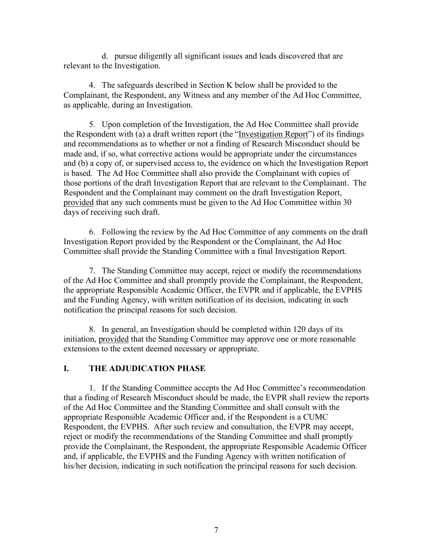d. pursue diligently all significant issues and leads discovered that are relevant to the Investigation.

4. The safeguards described in Section K below shall be provided to the Complainant, the Respondent, any Witness and any member of the Ad Hoc Committee, as applicable, during an Investigation.

5. Upon completion of the Investigation, the Ad Hoc Committee shall provide the Respondent with (a) a draft written report (the "Investigation Report") of its findings and recommendations as to whether or not a finding of Research Misconduct should be made and, if so, what corrective actions would be appropriate under the circumstances and (b) a copy of, or supervised access to, the evidence on which the Investigation Report is based. The Ad Hoc Committee shall also provide the Complainant with copies of those portions of the draft Investigation Report that are relevant to the Complainant. The Respondent and the Complainant may comment on the draft Investigation Report, provided that any such comments must be given to the Ad Hoc Committee within 30 days of receiving such draft.

6. Following the review by the Ad Hoc Committee of any comments on the draft Investigation Report provided by the Respondent or the Complainant, the Ad Hoc Committee shall provide the Standing Committee with a final Investigation Report.

7. The Standing Committee may accept, reject or modify the recommendations of the Ad Hoc Committee and shall promptly provide the Complainant, the Respondent, the appropriate Responsible Academic Officer, the EVPR and if applicable, the EVPHS and the Funding Agency, with written notification of its decision, indicating in such notification the principal reasons for such decision.

8. In general, an Investigation should be completed within 120 days of its initiation, provided that the Standing Committee may approve one or more reasonable extensions to the extent deemed necessary or appropriate.

#### **I. THE ADJUDICATION PHASE**

1. If the Standing Committee accepts the Ad Hoc Committee's recommendation that a finding of Research Misconduct should be made, the EVPR shall review the reports of the Ad Hoc Committee and the Standing Committee and shall consult with the appropriate Responsible Academic Officer and, if the Respondent is a CUMC Respondent, the EVPHS. After such review and consultation, the EVPR may accept, reject or modify the recommendations of the Standing Committee and shall promptly provide the Complainant, the Respondent, the appropriate Responsible Academic Officer and, if applicable, the EVPHS and the Funding Agency with written notification of his/her decision, indicating in such notification the principal reasons for such decision.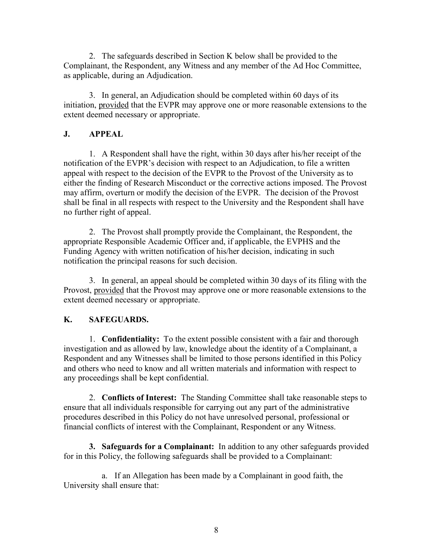2. The safeguards described in Section K below shall be provided to the Complainant, the Respondent, any Witness and any member of the Ad Hoc Committee, as applicable, during an Adjudication.

3. In general, an Adjudication should be completed within 60 days of its initiation, provided that the EVPR may approve one or more reasonable extensions to the extent deemed necessary or appropriate.

# **J. APPEAL**

1. A Respondent shall have the right, within 30 days after his/her receipt of the notification of the EVPR's decision with respect to an Adjudication, to file a written appeal with respect to the decision of the EVPR to the Provost of the University as to either the finding of Research Misconduct or the corrective actions imposed. The Provost may affirm, overturn or modify the decision of the EVPR. The decision of the Provost shall be final in all respects with respect to the University and the Respondent shall have no further right of appeal.

2. The Provost shall promptly provide the Complainant, the Respondent, the appropriate Responsible Academic Officer and, if applicable, the EVPHS and the Funding Agency with written notification of his/her decision, indicating in such notification the principal reasons for such decision.

3. In general, an appeal should be completed within 30 days of its filing with the Provost, provided that the Provost may approve one or more reasonable extensions to the extent deemed necessary or appropriate.

# **K. SAFEGUARDS.**

1. **Confidentiality:** To the extent possible consistent with a fair and thorough investigation and as allowed by law, knowledge about the identity of a Complainant, a Respondent and any Witnesses shall be limited to those persons identified in this Policy and others who need to know and all written materials and information with respect to any proceedings shall be kept confidential.

2. **Conflicts of Interest:** The Standing Committee shall take reasonable steps to ensure that all individuals responsible for carrying out any part of the administrative procedures described in this Policy do not have unresolved personal, professional or financial conflicts of interest with the Complainant, Respondent or any Witness.

**3. Safeguards for a Complainant:** In addition to any other safeguards provided for in this Policy, the following safeguards shall be provided to a Complainant:

a. If an Allegation has been made by a Complainant in good faith, the University shall ensure that: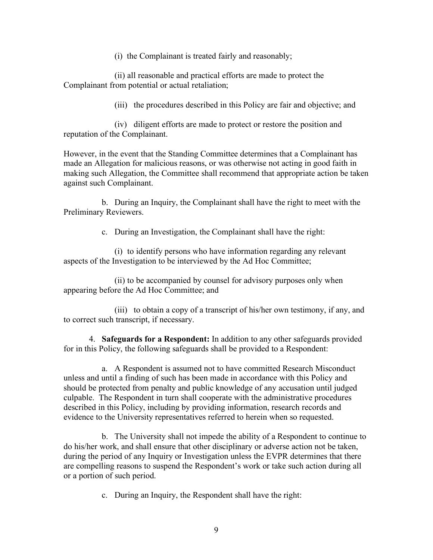(i) the Complainant is treated fairly and reasonably;

(ii) all reasonable and practical efforts are made to protect the Complainant from potential or actual retaliation;

(iii) the procedures described in this Policy are fair and objective; and

(iv) diligent efforts are made to protect or restore the position and reputation of the Complainant.

However, in the event that the Standing Committee determines that a Complainant has made an Allegation for malicious reasons, or was otherwise not acting in good faith in making such Allegation, the Committee shall recommend that appropriate action be taken against such Complainant.

b. During an Inquiry, the Complainant shall have the right to meet with the Preliminary Reviewers.

c. During an Investigation, the Complainant shall have the right:

(i) to identify persons who have information regarding any relevant aspects of the Investigation to be interviewed by the Ad Hoc Committee;

(ii) to be accompanied by counsel for advisory purposes only when appearing before the Ad Hoc Committee; and

(iii) to obtain a copy of a transcript of his/her own testimony, if any, and to correct such transcript, if necessary.

4. **Safeguards for a Respondent:** In addition to any other safeguards provided for in this Policy, the following safeguards shall be provided to a Respondent:

a. A Respondent is assumed not to have committed Research Misconduct unless and until a finding of such has been made in accordance with this Policy and should be protected from penalty and public knowledge of any accusation until judged culpable. The Respondent in turn shall cooperate with the administrative procedures described in this Policy, including by providing information, research records and evidence to the University representatives referred to herein when so requested.

b. The University shall not impede the ability of a Respondent to continue to do his/her work, and shall ensure that other disciplinary or adverse action not be taken, during the period of any Inquiry or Investigation unless the EVPR determines that there are compelling reasons to suspend the Respondent's work or take such action during all or a portion of such period.

c. During an Inquiry, the Respondent shall have the right: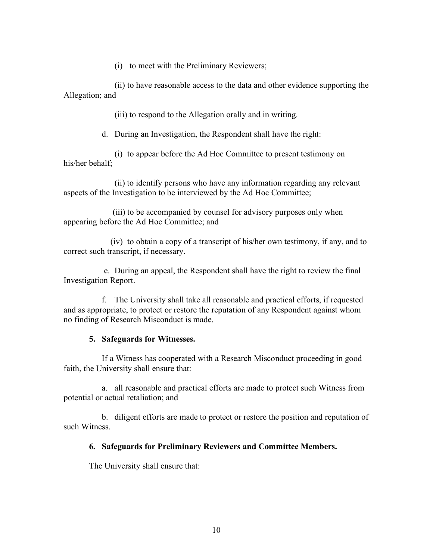(i) to meet with the Preliminary Reviewers;

(ii) to have reasonable access to the data and other evidence supporting the Allegation; and

(iii) to respond to the Allegation orally and in writing.

d. During an Investigation, the Respondent shall have the right:

(i) to appear before the Ad Hoc Committee to present testimony on his/her behalf;

(ii) to identify persons who have any information regarding any relevant aspects of the Investigation to be interviewed by the Ad Hoc Committee;

(iii) to be accompanied by counsel for advisory purposes only when appearing before the Ad Hoc Committee; and

(iv) to obtain a copy of a transcript of his/her own testimony, if any, and to correct such transcript, if necessary.

e. During an appeal, the Respondent shall have the right to review the final Investigation Report.

f. The University shall take all reasonable and practical efforts, if requested and as appropriate, to protect or restore the reputation of any Respondent against whom no finding of Research Misconduct is made.

#### **5. Safeguards for Witnesses.**

If a Witness has cooperated with a Research Misconduct proceeding in good faith, the University shall ensure that:

a. all reasonable and practical efforts are made to protect such Witness from potential or actual retaliation; and

b. diligent efforts are made to protect or restore the position and reputation of such Witness.

#### **6. Safeguards for Preliminary Reviewers and Committee Members.**

The University shall ensure that: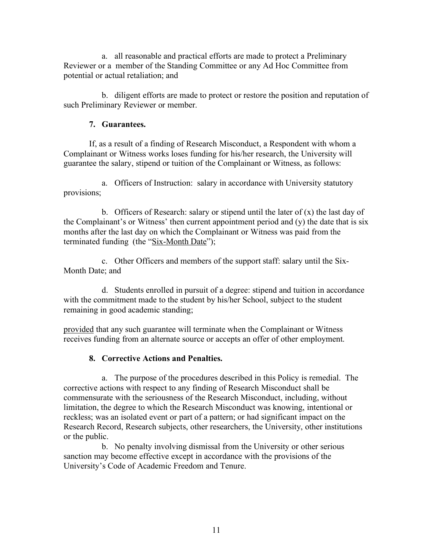a. all reasonable and practical efforts are made to protect a Preliminary Reviewer or a member of the Standing Committee or any Ad Hoc Committee from potential or actual retaliation; and

b. diligent efforts are made to protect or restore the position and reputation of such Preliminary Reviewer or member.

# **7. Guarantees.**

If, as a result of a finding of Research Misconduct, a Respondent with whom a Complainant or Witness works loses funding for his/her research, the University will guarantee the salary, stipend or tuition of the Complainant or Witness, as follows:

a. Officers of Instruction: salary in accordance with University statutory provisions;

b. Officers of Research: salary or stipend until the later of  $(x)$  the last day of the Complainant's or Witness' then current appointment period and (y) the date that is six months after the last day on which the Complainant or Witness was paid from the terminated funding (the "Six-Month Date");

c. Other Officers and members of the support staff: salary until the Six-Month Date; and

d. Students enrolled in pursuit of a degree: stipend and tuition in accordance with the commitment made to the student by his/her School, subject to the student remaining in good academic standing;

provided that any such guarantee will terminate when the Complainant or Witness receives funding from an alternate source or accepts an offer of other employment.

# **8. Corrective Actions and Penalties.**

a. The purpose of the procedures described in this Policy is remedial. The corrective actions with respect to any finding of Research Misconduct shall be commensurate with the seriousness of the Research Misconduct, including, without limitation, the degree to which the Research Misconduct was knowing, intentional or reckless; was an isolated event or part of a pattern; or had significant impact on the Research Record, Research subjects, other researchers, the University, other institutions or the public.

b. No penalty involving dismissal from the University or other serious sanction may become effective except in accordance with the provisions of the University's Code of Academic Freedom and Tenure.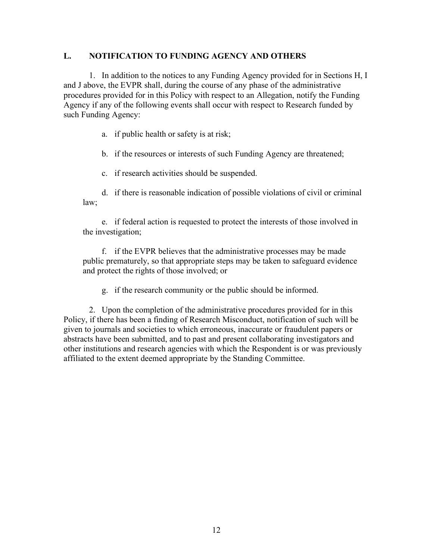## **L. NOTIFICATION TO FUNDING AGENCY AND OTHERS**

1. In addition to the notices to any Funding Agency provided for in Sections H, I and J above, the EVPR shall, during the course of any phase of the administrative procedures provided for in this Policy with respect to an Allegation, notify the Funding Agency if any of the following events shall occur with respect to Research funded by such Funding Agency:

a. if public health or safety is at risk;

b. if the resources or interests of such Funding Agency are threatened;

c. if research activities should be suspended.

d. if there is reasonable indication of possible violations of civil or criminal law;

e. if federal action is requested to protect the interests of those involved in the investigation;

f. if the EVPR believes that the administrative processes may be made public prematurely, so that appropriate steps may be taken to safeguard evidence and protect the rights of those involved; or

g. if the research community or the public should be informed.

2. Upon the completion of the administrative procedures provided for in this Policy, if there has been a finding of Research Misconduct, notification of such will be given to journals and societies to which erroneous, inaccurate or fraudulent papers or abstracts have been submitted, and to past and present collaborating investigators and other institutions and research agencies with which the Respondent is or was previously affiliated to the extent deemed appropriate by the Standing Committee.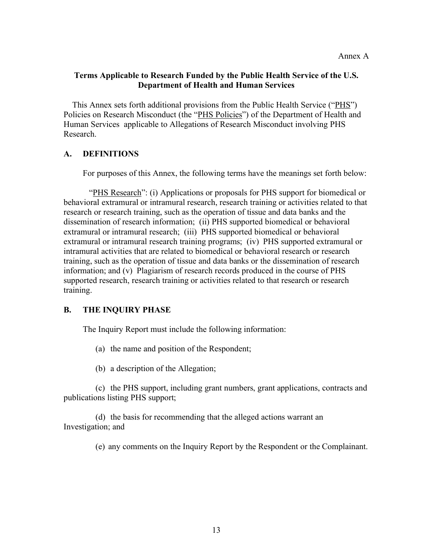### **Terms Applicable to Research Funded by the Public Health Service of the U.S. Department of Health and Human Services**

This Annex sets forth additional provisions from the Public Health Service ("PHS") Policies on Research Misconduct (the "PHS Policies") of the Department of Health and Human Services applicable to Allegations of Research Misconduct involving PHS Research.

## **A. DEFINITIONS**

For purposes of this Annex, the following terms have the meanings set forth below:

"PHS Research": (i) Applications or proposals for PHS support for biomedical or behavioral extramural or intramural research, research training or activities related to that research or research training, such as the operation of tissue and data banks and the dissemination of research information; (ii) PHS supported biomedical or behavioral extramural or intramural research; (iii) PHS supported biomedical or behavioral extramural or intramural research training programs; (iv) PHS supported extramural or intramural activities that are related to biomedical or behavioral research or research training, such as the operation of tissue and data banks or the dissemination of research information; and (v) Plagiarism of research records produced in the course of PHS supported research, research training or activities related to that research or research training.

#### **B. THE INQUIRY PHASE**

The Inquiry Report must include the following information:

- (a) the name and position of the Respondent;
- (b) a description of the Allegation;

(c) the PHS support, including grant numbers, grant applications, contracts and publications listing PHS support;

(d) the basis for recommending that the alleged actions warrant an Investigation; and

(e) any comments on the Inquiry Report by the Respondent or the Complainant.